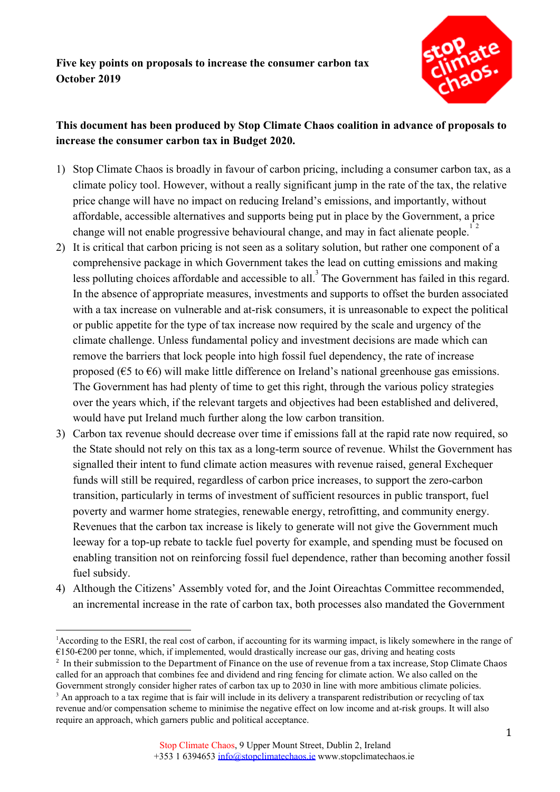

## **This document has been produced by Stop Climate Chaos coalition in advance of proposals to increase the consumer carbon tax in Budget 2020.**

- 1) Stop Climate Chaos is broadly in favour of carbon pricing, including a consumer carbon tax, as a climate policy tool. However, without a really significant jump in the rate of the tax, the relative price change will have no impact on reducing Ireland's emissions, and importantly, without affordable, accessible alternatives and supports being put in place by the Government, a price change will not enable progressive behavioural change, and may in fact alienate people.<sup>12</sup>
- 2) It is critical that carbon pricing is not seen as a solitary solution, but rather one component of a comprehensive package in which Government takes the lead on cutting emissions and making less polluting choices affordable and accessible to all.<sup>3</sup> The Government has failed in this regard. In the absence of appropriate measures, investments and supports to offset the burden associated with a tax increase on vulnerable and at-risk consumers, it is unreasonable to expect the political or public appetite for the type of tax increase now required by the scale and urgency of the climate challenge. Unless fundamental policy and investment decisions are made which can remove the barriers that lock people into high fossil fuel dependency, the rate of increase proposed ( $\epsilon$ 5 to  $\epsilon$ 6) will make little difference on Ireland's national greenhouse gas emissions. The Government has had plenty of time to get this right, through the various policy strategies over the years which, if the relevant targets and objectives had been established and delivered, would have put Ireland much further along the low carbon transition.
- 3) Carbon tax revenue should decrease over time if emissions fall at the rapid rate now required, so the State should not rely on this tax as a long-term source of revenue. Whilst the Government has signalled their intent to fund climate action measures with revenue raised, general Exchequer funds will still be required, regardless of carbon price increases, to support the zero-carbon transition, particularly in terms of investment of sufficient resources in public transport, fuel poverty and warmer home strategies, renewable energy, retrofitting, and community energy. Revenues that the carbon tax increase is likely to generate will not give the Government much leeway for a top-up rebate to tackle fuel poverty for example, and spending must be focused on enabling transition not on reinforcing fossil fuel dependence, rather than becoming another fossil fuel subsidy.
- 4) Although the Citizens' Assembly voted for, and the Joint Oireachtas Committee recommended, an incremental increase in the rate of carbon tax, both processes also mandated the Government

<sup>&</sup>lt;sup>1</sup>According to the ESRI, the real cost of carbon, if accounting for its warming impact, is likely somewhere in the range of  $€150-€200$  per tonne, which, if implemented, would drastically increase our gas, driving and heating costs

<sup>&</sup>lt;sup>2</sup> In their submission to the Department of Finance on the use of revenue from a tax increase, Stop Climate Chaos called for an approach that combines fee and dividend and ring fencing for climate action. We also called on the Government strongly consider higher rates of carbon tax up to 2030 in line with more ambitious climate policies.

<sup>&</sup>lt;sup>3</sup> An approach to a tax regime that is fair will include in its delivery a transparent redistribution or recycling of tax revenue and/or compensation scheme to minimise the negative effect on low income and at-risk groups. It will also require an approach, which garners public and political acceptance.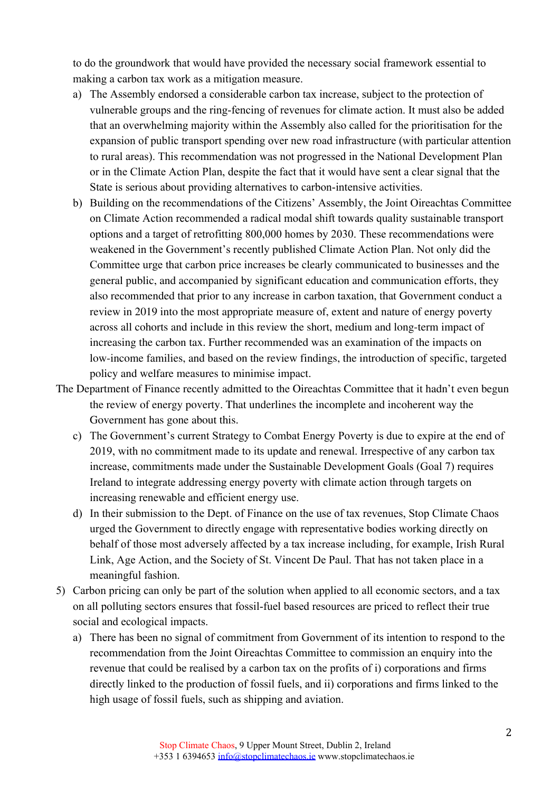to do the groundwork that would have provided the necessary social framework essential to making a carbon tax work as a mitigation measure.

- a) The Assembly endorsed a considerable carbon tax increase, subject to the protection of vulnerable groups and the ring-fencing of revenues for climate action. It must also be added that an overwhelming majority within the Assembly also called for the prioritisation for the expansion of public transport spending over new road infrastructure (with particular attention to rural areas). This recommendation was not progressed in the National Development Plan or in the Climate Action Plan, despite the fact that it would have sent a clear signal that the State is serious about providing alternatives to carbon-intensive activities.
- b) Building on the recommendations of the Citizens' Assembly, the Joint Oireachtas Committee on Climate Action recommended a radical modal shift towards quality sustainable transport options and a target of retrofitting 800,000 homes by 2030. These recommendations were weakened in the Government's recently published Climate Action Plan. Not only did the Committee urge that carbon price increases be clearly communicated to businesses and the general public, and accompanied by significant education and communication efforts, they also recommended that prior to any increase in carbon taxation, that Government conduct a review in 2019 into the most appropriate measure of, extent and nature of energy poverty across all cohorts and include in this review the short, medium and long-term impact of increasing the carbon tax. Further recommended was an examination of the impacts on low-income families, and based on the review findings, the introduction of specific, targeted policy and welfare measures to minimise impact.
- The Department of Finance recently admitted to the Oireachtas Committee that it hadn't even begun the review of energy poverty. That underlines the incomplete and incoherent way the Government has gone about this.
	- c) The Government's current Strategy to Combat Energy Poverty is due to expire at the end of 2019, with no commitment made to its update and renewal. Irrespective of any carbon tax increase, commitments made under the Sustainable Development Goals (Goal 7) requires Ireland to integrate addressing energy poverty with climate action through targets on increasing renewable and efficient energy use.
	- d) In their submission to the Dept. of Finance on the use of tax revenues, Stop Climate Chaos urged the Government to directly engage with representative bodies working directly on behalf of those most adversely affected by a tax increase including, for example, Irish Rural Link, Age Action, and the Society of St. Vincent De Paul. That has not taken place in a meaningful fashion.
- 5) Carbon pricing can only be part of the solution when applied to all economic sectors, and a tax on all polluting sectors ensures that fossil-fuel based resources are priced to reflect their true social and ecological impacts.
	- a) There has been no signal of commitment from Government of its intention to respond to the recommendation from the Joint Oireachtas Committee to commission an enquiry into the revenue that could be realised by a carbon tax on the profits of i) corporations and firms directly linked to the production of fossil fuels, and ii) corporations and firms linked to the high usage of fossil fuels, such as shipping and aviation.